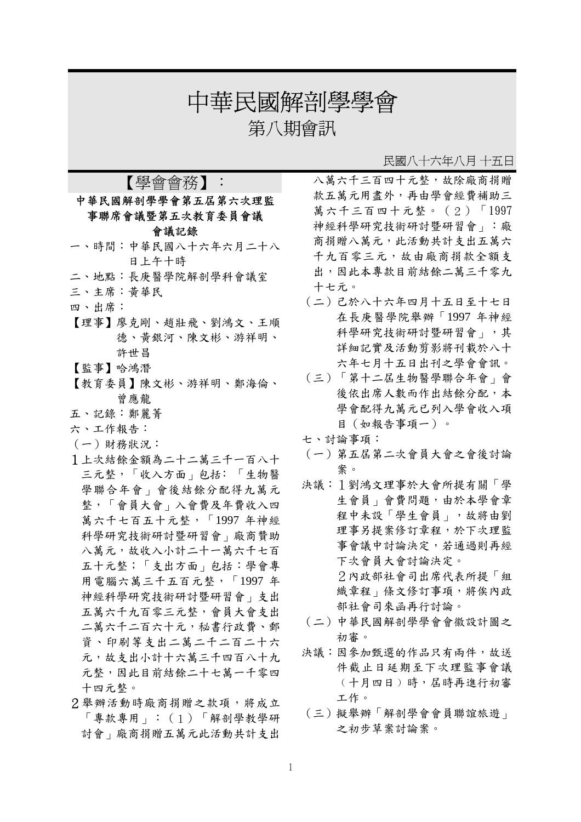# 中華民國解剖學學會

第八期會訊

#### 民國八十六年八月 十五日

## 【學會會務】: 中華民國解剖學學會第五屆第六次理監 事聯席會議暨第五次教育委員會議 會議記錄

- 一、時間:中華民國八十六年六月二十八 日上午十時
- 二、地點:長庚醫學院解剖學科會議室
- 三、主席:黃華民
- 四、出席:
- 【理事】廖克剛、趙壯飛、劉鴻文、王順 德、黃銀河、陳文彬、游祥明、 許世昌
- 【監事】哈鴻潛
- 【教育委員】陳文彬、游祥明、鄭海倫、 曾應龍
- 五、記錄:鄭麗菁
- 六、工作報告:
- (一)財務狀況:
- 1上次結餘金額為二十二萬三千一百八十 三元整,「收入方面」包括﹕「生物醫 學聯合年會」會後結餘分配得九萬元 整,「會員大會」入會費及年費收入四 萬六千七百五十元整,「1997 年神經 科學研究技術研討暨研習會」廠商贊助 八萬元,故收入小計二十一萬六千七百 五十元整;「支出方面」包括:學會專 用電腦六萬三千五百元整,「1997 年 神經科學研究技術研討暨研習會」支出 五萬六千九百零三元整,會員大會支出 二萬六千二百六十元,秘書行政費、郵 資、印刷等支出二萬二千二百二十六 元,故支出小計十六萬三千四百八十九 元整,因此目前結餘二十七萬一千零四 十四元整。
- 2舉辦活動時廠商捐贈之款項,將成立 「專款專用」:(1)「解剖學教學研 討會」廠商捐贈五萬元此活動共計支出

八萬六千三百四十元整,故除廠商捐贈 款五萬元用盡外,再由學會經費補助三 萬六千三百四十元整。(2)「1997 神經科學研究技術研討暨研習會」:廠 商捐贈八萬元,此活動共計支出五萬六 千九百零三元,故由廠商捐款全額支 出,因此本專款目前結餘二萬三千零九 十七元。

- (二)己於八十六年四月十五日至十七日 在長庚醫學院舉辦「1997 年神經 科學研究技術研討暨研習會」,其 詳細記實及活動剪影將刊載於八十 六年七月十五日出刊之學會會訊。
- (三)「第十二屆生物醫學聯合年會」會 後依出席人數而作出結餘分配,本 學會配得九萬元已列入學會收入項 目(如報告事項一)。
- 七、討論事項:
- (一)第五屆第二次會員大會之會後討論 案。
- 決議:1劉鴻文理事於大會所提有關「學 生會員」會費問題,由於本學會章 程中未設「學生會員」,故將由劉 理事另提案修訂章程,於下次理監 事會議中討論決定,若通過則再經 下次會員大會討論決定。 2內政部社會司出席代表所提「組 織章程 | 條文修訂事項, 將俟內政 部社會司來函再行討論。
- (二)中華民國解剖學學會會徽設計圖之 初審。
- 決議:因參加甄選的作品只有兩件,故送 件截止日延期至下次理監事會議 ﹙十月四日﹚時,屆時再進行初審 工作。
- (三)擬舉辦「解剖學會會員聯誼旅遊」 之初步草案討論案。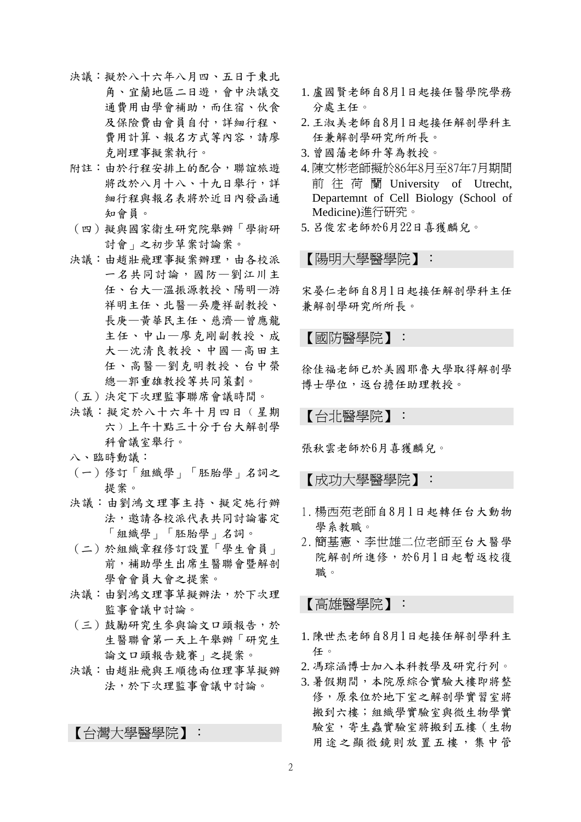- 決議:擬於八十六年八月四、五日于東北 角、宜蘭地區二日遊,會中決議交 通費用由學會補助,而住宿、伙食 及保險費由會員自付,詳細行程、 費用計算、報名方式等內容,請廖 克剛理事擬案執行。
- 附註:由於行程安排上的配合,聯誼旅遊 將改於八月十八、十九日舉行,詳 細行程與報名表將於近日內發函通 知會員。
- (四)擬與國家衛生研究院舉辦「學術研 討會」之初步草案討論案。
- 決議:由趙壯飛理事擬案辦理,由各校派 一名共同討論,國防—劉江川主 任、台大—溫振源教授、陽明—游 祥明主任、北醫—吳慶祥副教授、 長庚—黃華民主任、慈濟—曾應龍 主任、中山—廖克剛副教授、成 大—沈清良教授、中國—高田主 任、高醫—劉克明教授、台中榮 總—郭重雄教授等共同策劃。
- (五)決定下次理監事聯席會議時間。
- 決議:擬定於八十六年十月四日﹙星期 六﹚上午十點三十分于台大解剖學 科會議室舉行。
- 八、臨時動議:
- (一)修訂「組織學」「胚胎學」名詞之 提案。
- 決議:由劉鴻文理事主持、擬定施行辦 法,邀請各校派代表共同討論審定 「組織學」「胚胎學」名詞。
- (二)於組織章程修訂設置「學生會員」 前,補助學生出席生醫聯會暨解剖 學會會員大會之提案。
- 決議:由劉鴻文理事草擬辦法,於下次理 監事會議中討論。
- (三)鼓勵研究生參與論文口頭報告,於 生醫聯會第一天上午舉辦「研究生 論文口頭報告競賽」之提案。
- 決議:由趙壯飛與王順德兩位理事草擬辦 法,於下次理監事會議中討論。

【台灣大學醫學院】:

- 1. 盧國賢老師自8月1日起接任醫學院學務 分處主任。
- 2. 王淑美老師自8月1日起接任解剖學科主 任兼解剖學研究所所長。
- 3. 曾國藩老師升等為教授。
- 4. 陳文彬老師擬於86年8月至87年7月期間 前往荷蘭 University of Utrecht, Departemnt of Cell Biology (School of Medicine)進行研究。
- 5. 呂俊宏老師於6月22日喜獲麟兒。

【陽明大學醫學院】:

宋晏仁老師自8月1日起接任解剖學科主任 兼解剖學研究所所長。

【國防醫學院】:

徐佳福老師已於美國耶魯大學取得解剖學 博士學位,返台擔任助理教授。

【台北醫學院】:

張秋雲老師於6月喜獲麟兒。

【成功大學醫學院】:

- 1. 楊西苑老師自8月1日起轉任台大動物 學系教職。
- 2. 簡基憲、李世雄二位老師至台大醫學 院解剖所進修,於6月1日起暫返校復 職。

【高雄醫學院】:

- 1. 陳世杰老師自8月1日起接任解剖學科主 任。
- 2. 馮琮涵博士加入本科教學及研究行列。
- 3. 暑假期間,本院原綜合實驗大樓即將整 修,原來位於地下室之解剖學實習室將 搬到六樓;組織學實驗室與微生物學實 驗室,寄生蟲實驗室將搬到五樓(生物 用途之顯微鏡則放置五樓,集中管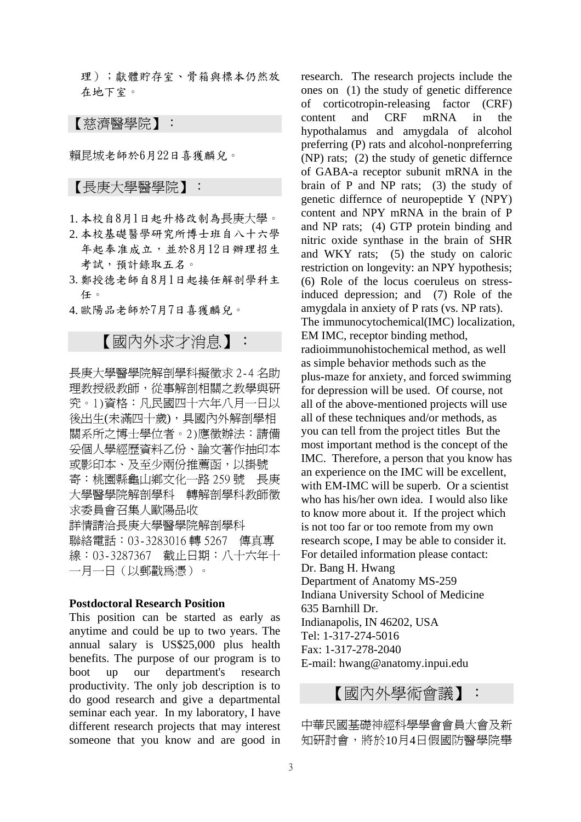理);獻體貯存室、骨箱與標本仍然放 在地下室。

【慈濟醫學院】:

賴昆城老師於6月22日喜獲麟兒。

### 【長庚大學醫學院】:

- 1. 本校自8月1日起升格改制為長庚大學。
- 2. 本校基礎醫學研究所博士班自八十六學 年起奉准成立,並於8月12日辦理招生 考試,預計錄取五名。
- 3. 鄭授德老師自8月1日起接任解剖學科主 任。
- 4. 歐陽品老師於7月7日喜獲麟兒。

# 【國內外求才消息】:

長庚大學醫學院解剖學科擬徵求 2-4 名助 理教授級教師,從事解剖相關之教學與研 究。1)資格:凡民國四十六年八月一日以 後出生(未滿四十歲),具國內外解剖學相 關系所之博士學位者。2)應徵辦法:請備 妥個人學經歷資料乙份、論文著作抽印本 或影印本、及至少兩份推薦函,以掛號 寄:桃園縣龜山鄉文化一路 259 號 長庚 大學醫學院解剖學科 轉解剖學科教師徵 求委員會召集人歐陽品收 詳情請洽長庚大學醫學院解剖學科 聯絡電話:03-3283016 轉 5267 傳真專 線:03-3287367 截止日期:八十六年十 一月一日(以郵戳為憑)。

#### **Postdoctoral Research Position**

This position can be started as early as anytime and could be up to two years. The annual salary is US\$25,000 plus health benefits. The purpose of our program is to boot up our department's research productivity. The only job description is to do good research and give a departmental seminar each year. In my laboratory, I have different research projects that may interest someone that you know and are good in

research. The research projects include the ones on (1) the study of genetic difference of corticotropin-releasing factor (CRF) content and CRF mRNA in the hypothalamus and amygdala of alcohol preferring (P) rats and alcohol-nonpreferring (NP) rats; (2) the study of genetic differnce of GABA-a receptor subunit mRNA in the brain of P and NP rats; (3) the study of genetic differnce of neuropeptide Y (NPY) content and NPY mRNA in the brain of P and NP rats; (4) GTP protein binding and nitric oxide synthase in the brain of SHR and WKY rats; (5) the study on caloric restriction on longevity: an NPY hypothesis; (6) Role of the locus coeruleus on stressinduced depression; and (7) Role of the amygdala in anxiety of P rats (vs. NP rats). The immunocytochemical(IMC) localization, EM IMC, receptor binding method, radioimmunohistochemical method, as well as simple behavior methods such as the plus-maze for anxiety, and forced swimming for depression will be used. Of course, not all of the above-mentioned projects will use all of these techniques and/or methods, as you can tell from the project titles But the most important method is the concept of the IMC. Therefore, a person that you know has an experience on the IMC will be excellent, with EM-IMC will be superb. Or a scientist who has his/her own idea. I would also like to know more about it. If the project which is not too far or too remote from my own research scope, I may be able to consider it. For detailed information please contact: Dr. Bang H. Hwang Department of Anatomy MS-259 Indiana University School of Medicine 635 Barnhill Dr. Indianapolis, IN 46202, USA Tel: 1-317-274-5016 Fax: 1-317-278-2040 E-mail: hwang@anatomy.inpui.edu

## 【國內外學術會議】:

中華民國基礎神經科學學會會員大會及新 知研討會,將於10月4日假國防醫學院舉